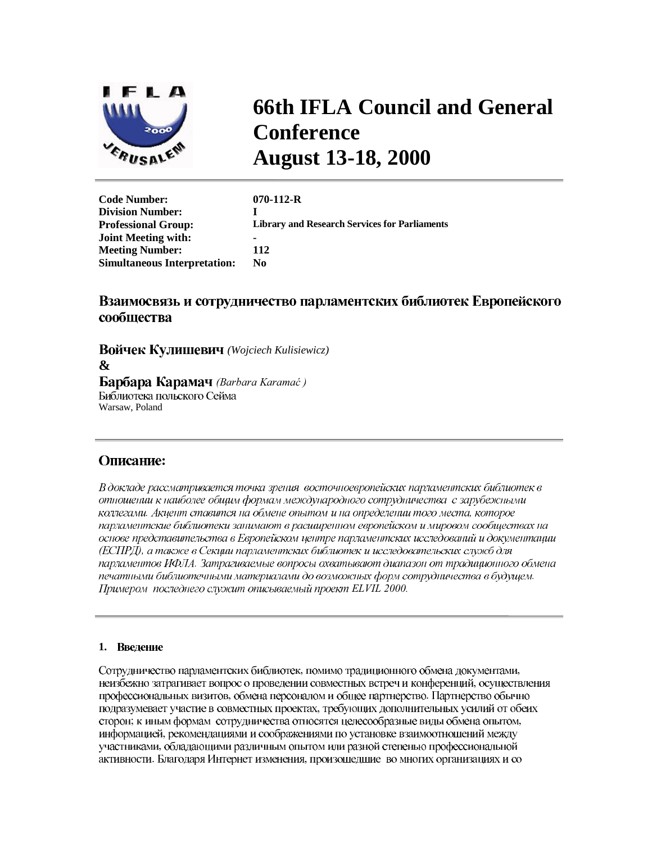

# **66th IFLA Council and General Conference August 13-18, 2000**

| <b>Code Number:</b>                 | $070 - 112 - R$                                      |
|-------------------------------------|------------------------------------------------------|
|                                     |                                                      |
| <b>Division Number:</b>             |                                                      |
| <b>Professional Group:</b>          | <b>Library and Research Services for Parliaments</b> |
| <b>Joint Meeting with:</b>          |                                                      |
| <b>Meeting Number:</b>              | 112                                                  |
| <b>Simultaneous Interpretation:</b> | N0                                                   |
|                                     |                                                      |

## Взаимосвязь и сотрудничество парламентских библиотек Европейского сообщества

*(Wojciech Kulisiewicz)* **&**  *<u>Bapõapa Kapamay</u> (Barbara Karamać)* Библиотека польского Сейма Warsaw, Poland

## Описание:

В докладе рассматривается точка зрения восточноевропейских парламентских библиотек в отношении к наиболее общим формам международного сотрудничества с зарубежными коллегами. Акцент ставится на обмене опытом и на определении того места, которое парламентские библиотеки занимают в расширенном европейском и мировом сообществах на основе представительства в Европейском центре парламентских исследований и документации (ЕСПРД), а также в Секции парламентских библиотек и исследовательских служб для парламентов ИФЛА. Затрагиваемые вопросы охватывают диапазон от традиционного обмена печатными библиотечными материалами до возможных форм сотрудничества в будущем. Примером последнего служит описываемый проект ELVIL 2000.

### 1. Введение

Сотрудничество парламентских библиотек, помимо традиционного обмена документами, неизбежно затрагивает вопрос о проведении совместных встреч и конференций, осуществления профессиональных визитов, обмена персоналом и общее партнерство. Партнерство обычно подразумевает участие в совместных проектах, требующих дополнительных усилий от обеих сторон; к иным формам сотрудничества относятся целесообразные виды обмена опытом, информацией, рекомендациями и соображениями по установке взаимоотношений между участниками, обладающими различным опытом или разной степенью профессиональной активности. Благодаря Интернет изменения, произошедшие во многих организациях и со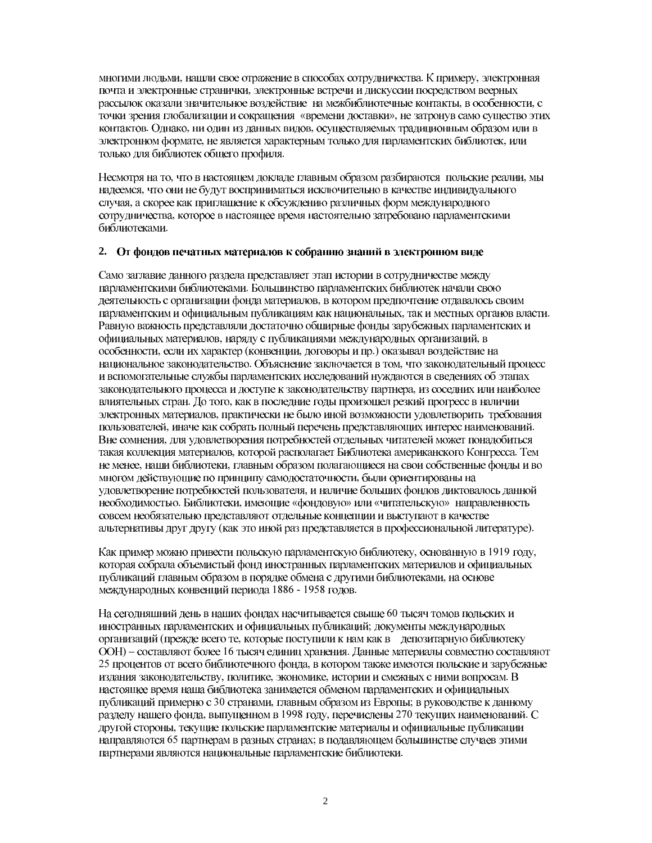многими людьми, нашли свое отражение в способах сотрудничества. К примеру, электронная почта и электронные странички, электронные встречи и дискуссии посредством веерных рассылок оказали значительное воздействие на межбиблиотечные контакты, в особенности, с точки зрения глобализации и сокращения «времени доставки», не затронув само существо этих контактов. Однако, ни один из данных видов, осуществляемых традиционным образом или в электронном формате, не является характерным только для парламентских библиотек, или только для библиотек общего профиля.

Несмотря на то, что в настоящем докладе главным образом разбираются польские реалии, мы надеемся, что они не будут восприниматься исключительно в качестве индивидуального случая, а скорее как приглашение к обсуждению различных форм международного сотрудничества, которое в настоящее время настоятельно затребовано парламентскими библиотеками.

#### 2. От фондов печатных материалов к собранию знаний в электронном виде

Само заглавие данного раздела представляет этап истории в сотрудничестве между парламентскими библиотеками. Большинство парламентских библиотек начали свою деятельность с организации фонда материалов, в котором предпочтение отдавалось своим парламентским и официальным публикациям как национальных, так и местных органов власти. Равную важность представляли достаточно обширные фонды зарубежных парламентских и официальных материалов, наряду с публикациями международных организаций, в особенности, если их характер (конвенции, договоры и пр.) оказывал воздействие на национальное законодательство. Объяснение заключается в том, что законодательный процесс и вспомогательные службы парламентских исследований нуждаются в сведениях об этапах законодательного процесса и доступе к законодательству партнера, из соседних или наиболее влиятельных стран. До того, как в последние годы произошел резкий прогресс в наличии электронных материалов, практически не было иной возможности удовлетворить требования пользователей, иначе как собрать полный перечень представляющих интерес наименований. Вне сомнения, для удовлетворения потребностей отдельных читателей может понадобиться такая коллекция материалов, которой располагает Библиотека американского Конгресса. Тем не менее, наши библиотеки, главным образом полагающиеся на свои собственные фонды и во многом действующие по принципу самодостаточности, были ориентированы на удовлетворение потребностей пользователя, и наличие больших фондов диктовалось данной необходимостью. Библиотеки, имеющие «фондовую» или «читательскую» направленность совсем необязательно представляют отдельные концепции и выступают в качестве альтернативы друг другу (как это иной раз представляется в профессиональной литературе).

Как пример можно привести польскую парламентскую библиотеку, основанную в 1919 году, которая собрала объемистый фонд иностранных парламентских материалов и официальных публикаций главным образом в порядке обмена с другими библиотеками, на основе международных конвенций периода 1886 - 1958 годов.

На сегодняшний день в наших фондах насчитывается свыше 60 тысяч томов польских и иностранных парламентских и официальных публикаций; документы международных организаций (прежде всего те, которые поступили к нам как в депозитарную библиотеку ООН) – составляют более 16 тысяч единиц хранения. Данные материалы совместно составляют 25 процентов от всего библиотечного фонда, в котором также имеются польские и зарубежные издания законодательству, политике, экономике, истории и смежных с ними вопросам. В настоящее время наша библиотека занимается обменом парламентских и официальных публикаций примерно с 30 странами, главным образом из Европы; в руководстве к данному разделу нашего фонда, выпущенном в 1998 году, перечислены 270 текущих наименований. С другой стороны, текущие польские парламентские материалы и официальные публикации направляются 65 партнерам в разных странах; в подавляющем большинстве случаев этими партнерами являются национальные парламентские библиотеки.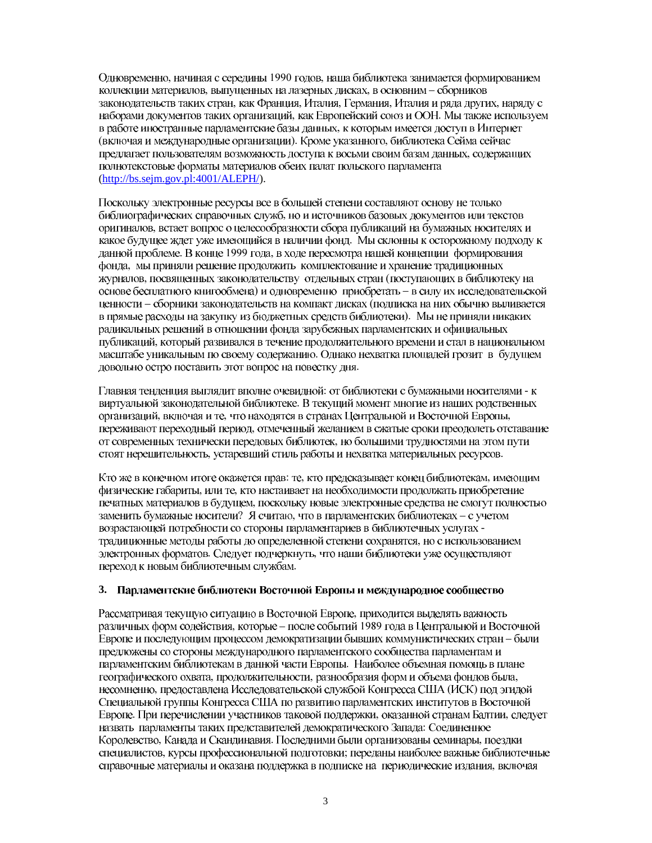Одновременно, начиная с середины 1990 годов, наша библиотека занимается формированием коллекции материалов, выпущенных на лазерных дисках, в основним - сборников законодательств таких стран, как Франция, Италия, Германия, Италия и ряда других, наряду с наборами документов таких организаций, как Европейский союз и ООН. Мы также используем в работе иностранные парламентские базы данных, к которым имеется доступ в Интернет (включая и международные организации). Кроме указанного, библиотека Сейма сейчас предлагает пользователям возможность доступа к восьми своим базам данных, содержащих полнотекстовые форматы материалов обеих палат польского парламента  $(http://bs.sejm.gov.pl:4001/ALEPH/).$ 

Поскольку электронные ресурсы все в большей степени составляют основу не только библиографических справочных служб, но и источников базовых документов или текстов оригиналов, встает вопрос о целесообразности сбора публикаций на бумажных носителях и какое будущее ждет уже имеющийся в наличии фонд. Мы склонны к осторожному подходу к данной проблеме. В конце 1999 года, в ходе пересмотра нашей концепции формирования фонда, мы приняли решение продолжить комплектование и хранение традиционных журналов, посвященных законодательству отдельных стран (поступающих в библиотеку на основе бесплатного книгообмена) и одновременно приобретать - в силу их исследовательской ценности - сборники законодательств на компакт дисках (подписка на них обычно выливается в прямые расходы на закупку из бюджетных средств библиотеки). Мы не приняли никаких радикальных решений в отношении фонда зарубежных парламентских и официальных публикаций, который развивался в течение продолжительного времени и стал в национальном масштабе уникальным по своему содержанию. Однако нехватка площадей грозит в будущем довольно остро поставить этот вопрос на повестку дня.

Главная тенденция выглядит вполне очевидной: от библиотеки с бумажными носителями - к виртуальной законодательной библиотеке. В текущий момент многие из наших родственных организаций, включая и те, что находятся в странах Центральной и Восточной Европы, переживают переходный период, отмеченный желанием в сжатые сроки преодолеть отставание от современных технически передовых библиотек, но большими трудностями на этом пути стоят нерешительность, устаревший стиль работы и нехватка материальных ресурсов.

Кто же в конечном итоге окажется прав: те, кто предсказывает конец библиотекам, имеющим физические габариты, или те, кто настаивает на необходимости продолжать приобретение печатных материалов в будущем, поскольку новые электронные средства не смогут полностью заменить бумажные носители? Я считаю, что в парламентских библиотеках - с учетом возрастающей потребности со стороны парламентариев в библиотечных услугах традиционные методы работы до определенной степени сохранятся, но с использованием электронных форматов. Следует подчеркнуть, что наши библиотеки уже осуществляют переход к новым библиотечным службам.

#### 3. Парламентские библиотеки Восточной Европы и международное сообщество

Рассматривая текущую ситуацию в Восточной Европе, приходится выделять важность различных форм содействия, которые - после событий 1989 года в Центральной и Восточной Европе и последующим процессом демократизации бывших коммунистических стран - были предложены со стороны международного парламентского сообщества парламентам и парламентским библиотекам в данной части Европы. Наиболее объемная помощь в плане географического охвата, продолжительности, разнообразия форм и объема фондов была, несомненно, предоставлена Исследовательской службой Конгресса США (ИСК) под эгидой Специальной группы Конгресса США по развитию парламентских институтов в Восточной Европе. При перечислении участников таковой поддержки, оказанной странам Балтии, следует назвать парламенты таких представителей демократического Запада: Соединенное Королевство, Канада и Скандинавия. Последними были организованы семинары, поездки специалистов, курсы профессиональной подготовки; переданы наиболее важные библиотечные справочные материалы и оказана поддержка в подписке на периодические издания, включая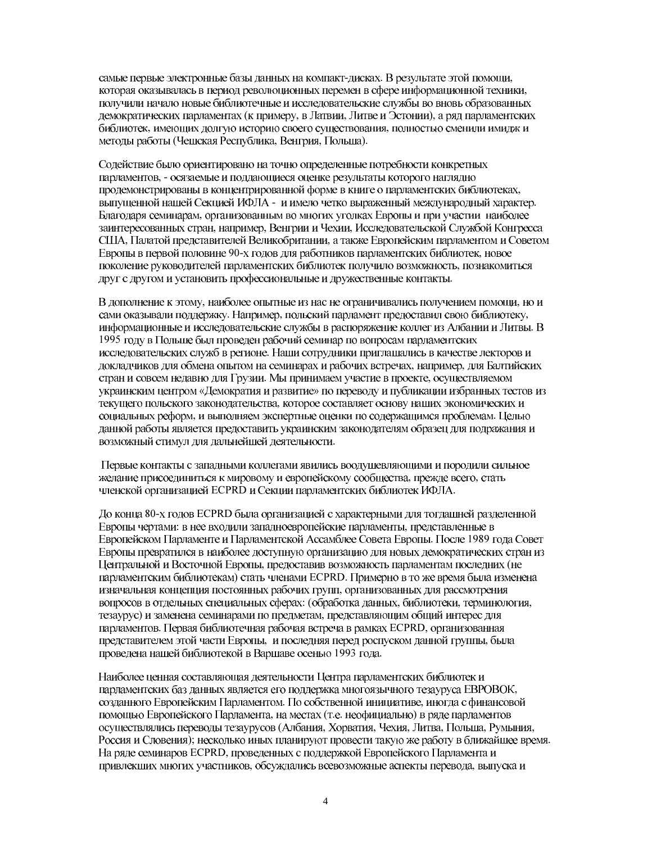самые первые электронные базы данных на компакт-дисках. В результате этой помощи, которая оказывалась в период революционных перемен в сфере информационной техники, получили начало новые библиотечные и исследовательские службы во вновь образованных демократических парламентах (к примеру, в Латвии, Литве и Эстонии), а ряд парламентских библиотек, имеющих долгую историю своего существования, полностью сменили имидж и методы работы (Чешская Республика, Венгрия, Польша).

Содействие было ориентировано на точно определенные потребности конкретных парламентов, - осязаемые и поддающиеся оценке результаты которого наглядно продемонстрированы в концентрированной форме в книге о парламентских библиотеках, выпущенной нашей Секцией ИФЛА - и имело четко выраженный международный характер. Благодаря семинарам, организованным во многих уголках Европы и при участии наиболее заинтересованных стран, например, Венгрии и Чехии, Исследовательской Службой Конгресса США, Палатой представителей Великобритании, а также Европейским парламентом и Советом Европы в первой половине 90-х годов для работников парламентских библиотек, новое поколение руководителей парламентских библиотек получило возможность, познакомиться друг с другом и установить профессиональные и дружественные контакты.

В дополнение к этому, наиболее опытные из нас не ограничивались получением помощи, но и сами оказывали поддержку. Например, польский парламент предоставил свою библиотеку, информационные и исследовательские службы в распоряжение коллег из Албании и Литвы. В 1995 году в Польше был проведен рабочий семинар по вопросам парламентских исследовательских служб в регионе. Наши сотрудники приглашались в качестве лекторов и докладчиков для обмена опытом на семинарах и рабочих встречах, например, для Балтийских стран и совсем недавно для Грузии. Мы принимаем участие в проекте, осуществляемом украинским центром «Демократия и развитие» по переводу и публикации избранных тестов из текущего польского законодательства, которое составляет основу наших экономических и социальных реформ, и выполняем экспертные оценки по содержащимся проблемам. Целью данной работы является предоставить украинским законодателям образец для подражания и возможный стимул для дальнейшей деятельности.

Первые контакты с западными коллегами явились воодушевляющими и породили сильное желание присоединиться к мировому и европейскому сообщества, прежде всего, стать членской организацией ECPRD и Секции парламентских библиотек ИФЛА.

До конца 80-х годов ECPRD была организацией с характерными для тогдашней разделенной Европы чертами: в нее входили западноевропейские парламенты, представленные в Европейском Парламенте и Парламентской Ассамблее Совета Европы. После 1989 года Совет Европы превратился в наиболее доступную организацию для новых демократических стран из Центральной и Восточной Европы, предоставив возможность парламентам последних (не парламентским библиотекам) стать членами ECPRD. Примерно в то же время была изменена изначальная концепция постоянных рабочих групп, организованных для рассмотрения вопросов в отдельных специальных сферах: (обработка данных, библиотеки, терминология, тезаурус) и заменена семинарами по предметам, представляющим общий интерес для парламентов. Первая библиотечная рабочая встреча в рамках ECPRD, организованная представителем этой части Европы, и последняя перед роспуском данной группы, была проведена нашей библиотекой в Варшаве осенью 1993 года.

Наиболее ценная составляющая деятельности Центра парламентских библиотек и парламентских баз данных является его поддержка многоязычного тезауруса ЕВРОВОК, созданного Европейским Парламентом. По собственной инициативе, иногда с финансовой помощью Европейского Парламента, на местах (т.е. неофициально) в ряде парламентов осуществлялись переводы тезаурусов (Албания, Хорватия, Чехия, Литва, Польша, Румыния, Россия и Словения); несколько иных планируют провести такую же работу в ближайшее время. На ряде семинаров ECPRD, проведенных с поддержкой Европейского Парламента и привлекших многих участников, обсуждались всевозможные аспекты перевода, выпуска и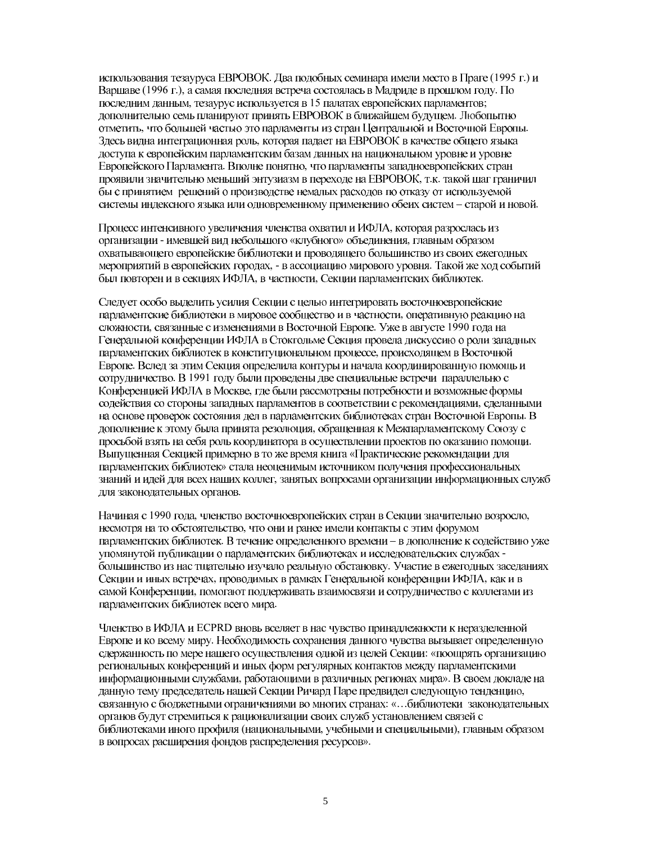использования тезауруса ЕВРОВОК. Два подобных семинара имели место в Праге (1995 г.) и Варшаве (1996 г.), а самая последняя встреча состоялась в Мадриде в прошлом году. По последним данным, тезаурус используется в 15 палатах европейских парламентов; дополнительно семь планируют принять EBPOBOK в ближайшем будущем. Любопытно отметить, что большей частью это парламенты из стран Центральной и Восточной Европы. Здесь видна интеграционная роль, которая падает на ЕВРОВОК в качестве общего языка доступа к европейским парламентским базам данных на национальном уровне и уровне Европейского Парламента. Вполне понятно, что парламенты западноевропейских стран проявили значительно меньший энтузиазм в переходе на ЕВРОВОК, т.к. такой шаг граничил бы с принятием решений о производстве немалых расходов по отказу от используемой системы индексного языка или одновременному применению обеих систем - старой и новой.

Процесс интенсивного увеличения членства охватил и ИФЛА, которая разрослась из организации - имевшей вид небольшого «клубного» объединения, главным образом охватывающего европейские библиотеки и проводящего большинство из своих ежегодных мероприятий в европейских городах, - в ассоциацию мирового уровня. Такой же ход событий был повторен и в секциях ИФЛА, в частности, Секции парламентских библиотек.

Следует особо выделить усилия Секции с целью интегрировать восточноевропейские парламентские библиотеки в мировое сообщество и в частности, оперативную реакцию на сложности, связанные с изменениями в Восточной Европе. Уже в августе 1990 года на Генеральной конференции ИФЛА в Стокгольме Секция провела дискуссию о роли западных парламентских библиотек в конституциональном процессе, происходящем в Восточной Европе. Вслед за этим Секция определила контуры и начала координированную помощь и сотрудничество. В 1991 году были проведены две специальные встречи параллельно с Конференцией ИФЛА в Москве, где были рассмотрены потребности и возможные формы содействия со стороны западных парламентов в соответствии с рекомендациями, сделанными на основе проверок состояния дел в парламентских библиотеках стран Восточной Европы. В дополнение к этому была принята резолюция, обращенная к Межпарламентскому Союзу с просьбой взять на себя роль координатора в осуществлении проектов по оказанию помощи. Выпущенная Секцией примерно в то же время книга «Практические рекомендации для парламентских библиотек» стала неоценимым источником получения профессиональных знаний и идей для всех наших коллег, занятых вопросами организации информационных служб для законодательных органов.

Начиная с 1990 года, членство восточноевропейских стран в Секции значительно возросло, несмотря на то обстоятельство, что они и ранее имели контакты с этим форумом парламентских библиотек. В течение определенного времени - в дополнение к содействию уже упомянутой публикации о парламентских библиотеках и исследовательских службах большинство из нас тщательно изучало реальную обстановку. Участие в ежегодных заседаниях Секции и иных встречах, проводимых в рамках Генеральной конференции ИФЛА, как и в самой Конференции, помогают поддерживать взаимосвязи и сотрудничество с коллегами из парламентских библиотек всего мира.

Членство в ИФЛА и ECPRD вновь вселяет в нас чувство принадлежности к неразделенной Европе и ко всему миру. Необходимость сохранения данного чувства вызывает определенную сдержанность по мере нашего осуществления одной из целей Секции: «поощрять организацию региональных конференций и иных форм регулярных контактов между парламентскими информационными службами, работающими в различных регионах мира». В своем докладе на данную тему председатель нашей Секции Ричард Паре предвидел следующую тенденцию, связанную с бюджетными ограничениями во многих странах: «... библиотеки законодательных органов будут стремиться к рационализации своих служб установлением связей с библиотеками иного профиля (национальными, учебными и специальными), главным образом в вопросах расширения фондов распределения ресурсов».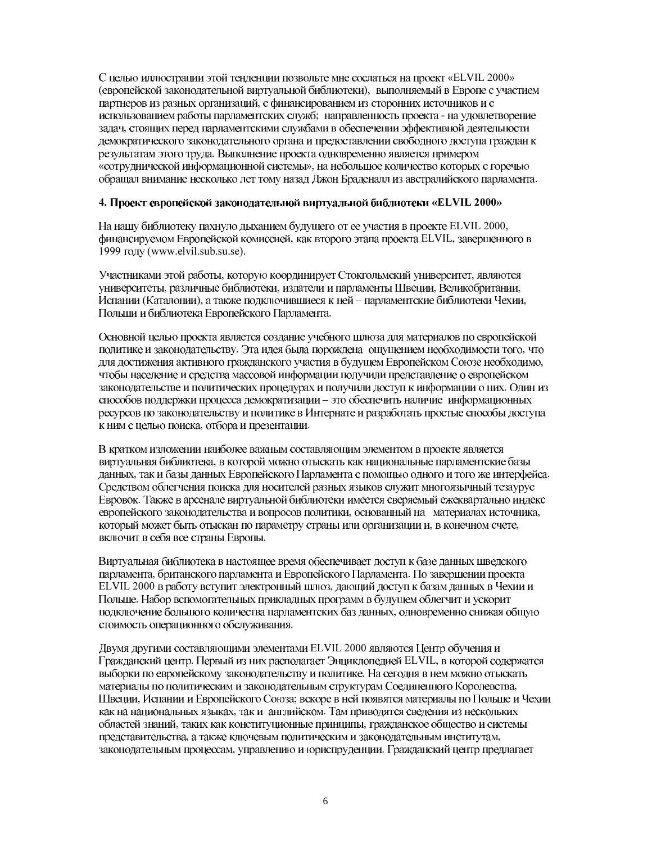С целью иллюстрации этой тенденции позвольте мне сослаться на проект «ELVIL 2000» (европейской законодательной виртуальной библиотеки), выполняемый в Европе с участием партнеров из разных организаций, с финансированием из сторонних источников и с использованием работы парламентских служб; направленность проекта - на удовлетворение задач, стоящих перед парламентскими службами в обеспечении эффективной деятельности демократического законодательного органа и предоставлении свободного доступа граждан к результатам этого труда. Выполнение проекта одновременно является примером «сотруднической информационной системы», на небольшое количество которых с горечью обращал внимание несколько лет тому назад Джон Браденалл из австралийского парламента.

#### 4. Проект европейской законодательной виртуальной библиотеки «ELVIL 2000»

На нашу библиотеку пахнуло дыханием будущего от ее участия в проекте ELVIL 2000, финансируемом Европейской комиссией, как второго этапа проекта ELVIL, завершенного в 1999 году (www.elvil.sub.su.se).

Участниками этой работы, которую координирует Стокгольмский университет, являются университеты, различные библиотеки, издатели и парламенты Швеции, Великобритании, Испании (Каталонии), а также полключившиеся к ней – парламентские библиотеки Чехии, Польши и библиотека Европейского Парламента.

Основной целью проекта является создание учебного шлюза для материалов по европейской политике и законодательству. Эта идея была порождена ощущением необходимости того, что для достижения активного гражданского участия в будущем Европейском Союзе необходимо, чтобы население и средства массовой информации получили представление о европейском законодательстве и политических процедурах и получили доступ к информации о них. Один из способов поддержки процесса демократизации - это обеспечить наличие информационных ресурсов по законодательству и политике в Интернате и разработать простые способы доступа к ним с целью поиска, отбора и презентации.

В кратком изложении наиболее важным составляющим элементом в проекте является виртуальная библиотека, в которой можно отыскать как национальные парламентские базы данных, так и базы данных Европейского Парламента с помощью одного и того же интерфейса. Средством облегчения поиска для носителей разных языков служит многоязычный тезаурус Евровок. Также в арсенале виртуальной библиотеки имеется сверяемый ежеквартально индекс европейского законодательства и вопросов политики, основанный на материалах источника, который может быть отыскан по параметру страны или организации и, в конечном счете, включит в себя все страны Европы.

Виртуальная библиотека в настоящее время обеспечивает доступ к базе данных шведского парламента, британского парламента и Европейского Парламента. По завершении проекта ELVIL 2000 в работу вступит электронный шлюз, дающий доступ к базам данных в Чехии и Польше. Набор вспомогательных прикладных программ в будущем облегчит и ускорит подключение большого количества парламентских баз данных, одновременно снижая общую стоимость операционного обслуживания.

Двумя другими составляющими элементами ELVIL 2000 являются Центр обучения и Гражданский центр. Первый из них располагает Энциклопедией ELVIL, в которой содержатся выборки по европейскому законодательству и политике. На сегодня в нем можно отыскать материалы по политическим и законодательным структурам Соединенного Королевства, Швеции, Испании и Европейского Союза; вскоре в ней появятся материалы по Польше и Чехии как на национальных языках, так и английском. Там приводятся сведения из нескольких областей знаний, таких как конституционные принципы, гражданское общество и системы представительства, а также ключевым политическим и законодательным институтам, законодательным процессам, управлению и юриспруденции. Гражданский центр предлагает